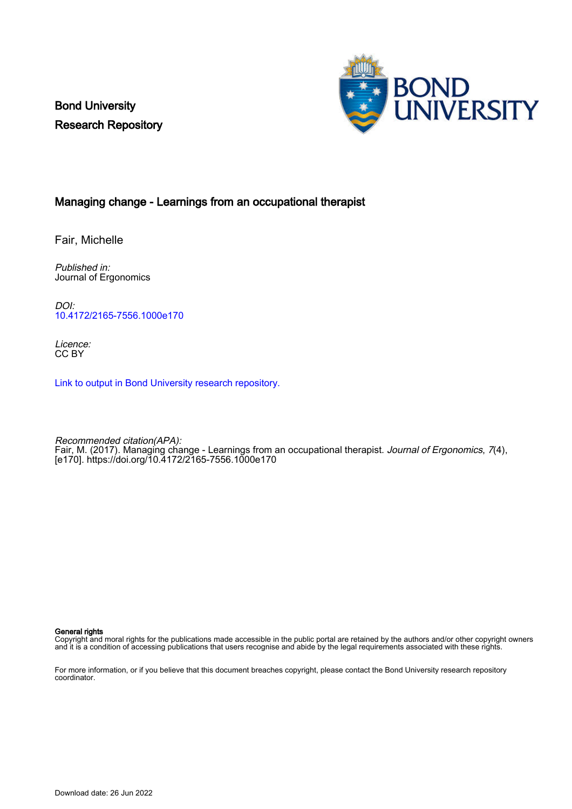Bond University Research Repository



## Managing change - Learnings from an occupational therapist

Fair, Michelle

Published in: Journal of Ergonomics

DOI: [10.4172/2165-7556.1000e170](https://doi.org/10.4172/2165-7556.1000e170)

Licence: CC BY

[Link to output in Bond University research repository.](https://research.bond.edu.au/en/publications/4643ff96-f387-42c9-8893-8f18b828e9d0)

Recommended citation(APA): Fair, M. (2017). Managing change - Learnings from an occupational therapist. *Journal of Ergonomics*, 7(4), [e170].<https://doi.org/10.4172/2165-7556.1000e170>

#### General rights

Copyright and moral rights for the publications made accessible in the public portal are retained by the authors and/or other copyright owners and it is a condition of accessing publications that users recognise and abide by the legal requirements associated with these rights.

For more information, or if you believe that this document breaches copyright, please contact the Bond University research repository coordinator.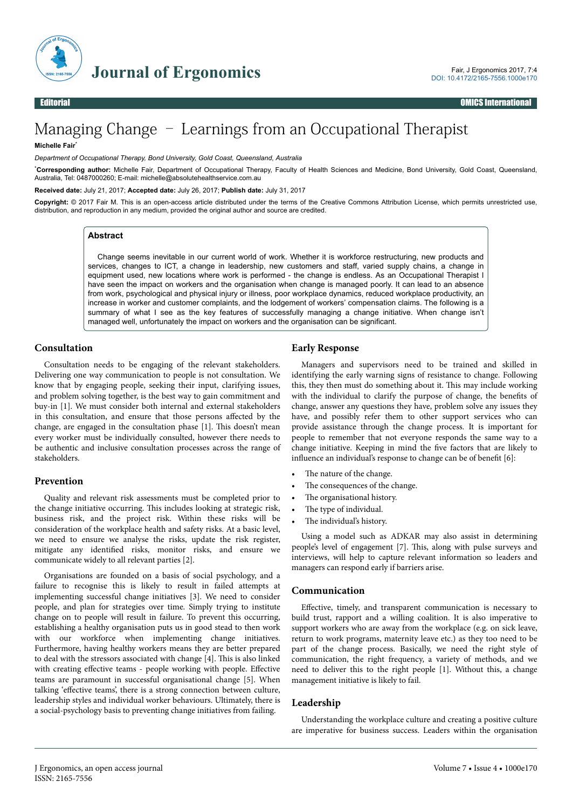

# Managing Change – Learnings from an Occupational Therapist

#### **Michelle Fair**\*

*Department of Occupational Therapy, Bond University, Gold Coast, Queensland, Australia*

\***Corresponding author:** Michelle Fair, Department of Occupational Therapy, Faculty of Health Sciences and Medicine, Bond University, Gold Coast, Queensland, Australia, Tel: 0487000260; E-mail: michelle@absolutehealthservice.com.au

**Received date:** July 21, 2017; **Accepted date:** July 26, 2017; **Publish date:** July 31, 2017

**Copyright:** © 2017 Fair M. This is an open-access article distributed under the terms of the Creative Commons Attribution License, which permits unrestricted use, distribution, and reproduction in any medium, provided the original author and source are credited.

#### **Abstract**

Change seems inevitable in our current world of work. Whether it is workforce restructuring, new products and services, changes to ICT, a change in leadership, new customers and staff, varied supply chains, a change in equipment used, new locations where work is performed - the change is endless. As an Occupational Therapist I have seen the impact on workers and the organisation when change is managed poorly. It can lead to an absence from work, psychological and physical injury or illness, poor workplace dynamics, reduced workplace productivity, an increase in worker and customer complaints, and the lodgement of workers' compensation claims. The following is a summary of what I see as the key features of successfully managing a change initiative. When change isn't managed well, unfortunately the impact on workers and the organisation can be significant.

## **Consultation**

Consultation needs to be engaging of the relevant stakeholders. Delivering one way communication to people is not consultation. We know that by engaging people, seeking their input, clarifying issues, and problem solving together, is the best way to gain commitment and buy-in [1]. We must consider both internal and external stakeholders in this consultation, and ensure that those persons affected by the change, are engaged in the consultation phase [1]. This doesn't mean every worker must be individually consulted, however there needs to be authentic and inclusive consultation processes across the range of stakeholders.

## **Prevention**

Quality and relevant risk assessments must be completed prior to the change initiative occurring. This includes looking at strategic risk, business risk, and the project risk. Within these risks will be consideration of the workplace health and safety risks. At a basic level, we need to ensure we analyse the risks, update the risk register, mitigate any identified risks, monitor risks, and ensure we communicate widely to all relevant parties [2].

Organisations are founded on a basis of social psychology, and a failure to recognise this is likely to result in failed attempts at implementing successful change initiatives [3]. We need to consider people, and plan for strategies over time. Simply trying to institute change on to people will result in failure. To prevent this occurring, establishing a healthy organisation puts us in good stead to then work with our workforce when implementing change initiatives. Furthermore, having healthy workers means they are better prepared to deal with the stressors associated with change [4]. This is also linked with creating effective teams - people working with people. Effective teams are paramount in successful organisational change [5]. When talking 'effective teams', there is a strong connection between culture, leadership styles and individual worker behaviours. Ultimately, there is a social-psychology basis to preventing change initiatives from failing.

## **Early Response**

Managers and supervisors need to be trained and skilled in identifying the early warning signs of resistance to change. Following this, they then must do something about it. This may include working with the individual to clarify the purpose of change, the benefits of change, answer any questions they have, problem solve any issues they have, and possibly refer them to other support services who can provide assistance through the change process. It is important for people to remember that not everyone responds the same way to a change initiative. Keeping in mind the five factors that are likely to influence an individual's response to change can be of benefit [6]:

- The nature of the change.
- The consequences of the change.
- The organisational history.
- The type of individual.
- The individual's history.

Using a model such as ADKAR may also assist in determining people's level of engagement [7]. This, along with pulse surveys and interviews, will help to capture relevant information so leaders and managers can respond early if barriers arise.

## **Communication**

Effective, timely, and transparent communication is necessary to build trust, rapport and a willing coalition. It is also imperative to support workers who are away from the workplace (e.g. on sick leave, return to work programs, maternity leave etc.) as they too need to be part of the change process. Basically, we need the right style of communication, the right frequency, a variety of methods, and we need to deliver this to the right people [1]. Without this, a change management initiative is likely to fail.

## **Leadership**

Understanding the workplace culture and creating a positive culture are imperative for business success. Leaders within the organisation